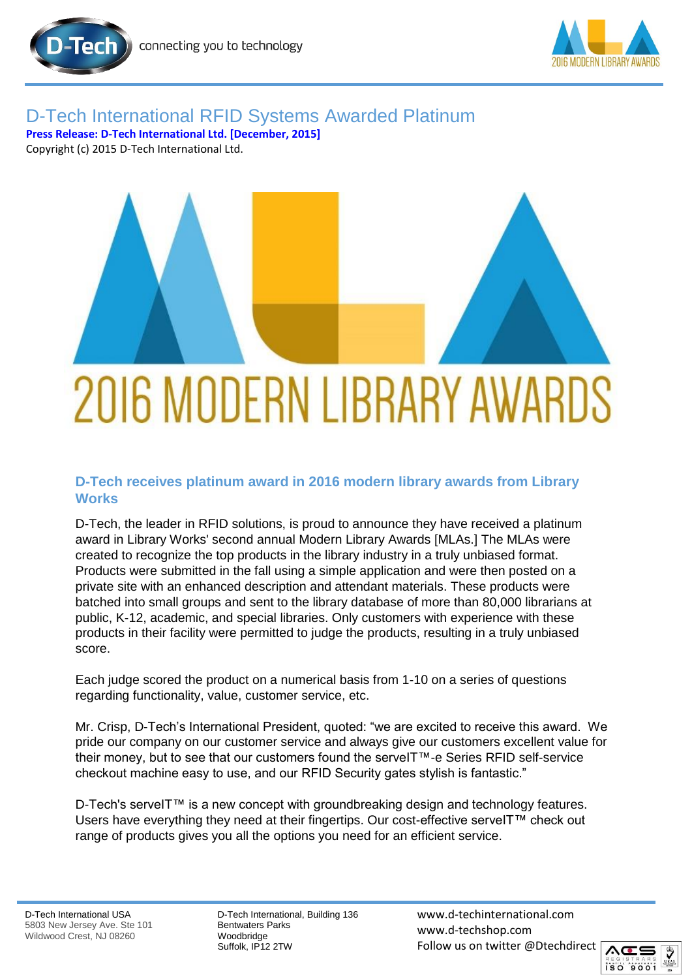

## D-Tech International RFID Systems Awarded Platinum **Press Release: D-Tech International Ltd. [December, 2015]** Copyright (c) 2015 D-Tech International Ltd.

2016 MODERN LIBRARY AWARDS

## **D-Tech receives platinum award in 2016 modern library awards from Library Works**

D-Tech, the leader in RFID solutions, is proud to announce they have received a platinum award in Library Works' second annual Modern Library Awards [MLAs.] The MLAs were created to recognize the top products in the library industry in a truly unbiased format. Products were submitted in the fall using a simple application and were then posted on a private site with an enhanced description and attendant materials. These products were batched into small groups and sent to the library database of more than 80,000 librarians at public, K-12, academic, and special libraries. Only customers with experience with these products in their facility were permitted to judge the products, resulting in a truly unbiased score.

Each judge scored the product on a numerical basis from 1-10 on a series of questions regarding functionality, value, customer service, etc.

Mr. Crisp, D-Tech's International President, quoted: "we are excited to receive this award. We pride our company on our customer service and always give our customers excellent value for their money, but to see that our customers found the serveIT™-e Series RFID self-service checkout machine easy to use, and our RFID Security gates stylish is fantastic."

D-Tech's serveIT™ is a new concept with groundbreaking design and technology features. Users have everything they need at their fingertips. Our cost-effective serveIT™ check out range of products gives you all the options you need for an efficient service.

D-Tech International, Building 136 Bentwaters Parks Woodbridge Suffolk, IP12 2TW